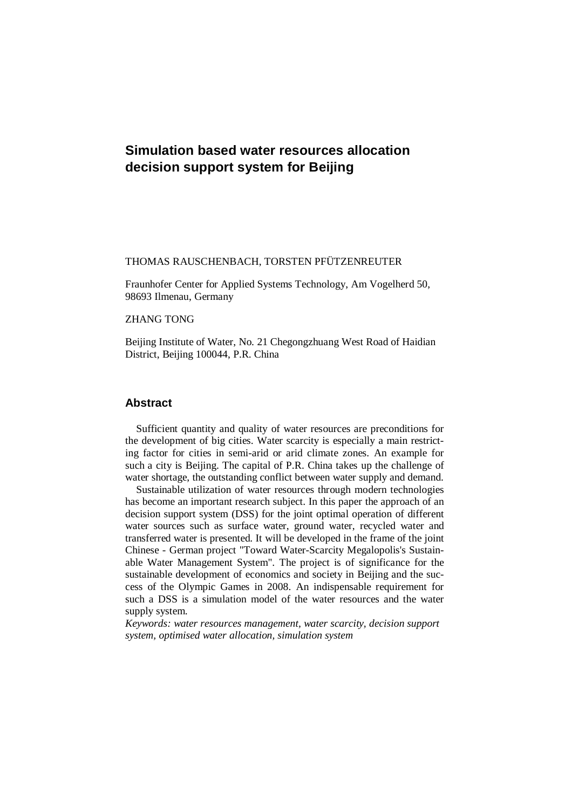# **Simulation based water resources allocation decision support system for Beijing**

#### THOMAS RAUSCHENBACH, TORSTEN PFÜTZENREUTER

Fraunhofer Center for Applied Systems Technology, Am Vogelherd 50, 98693 Ilmenau, Germany

#### ZHANG TONG

Beijing Institute of Water, No. 21 Chegongzhuang West Road of Haidian District, Beijing 100044, P.R. China

#### **Abstract**

Sufficient quantity and quality of water resources are preconditions for the development of big cities. Water scarcity is especially a main restricting factor for cities in semi-arid or arid climate zones. An example for such a city is Beijing. The capital of P.R. China takes up the challenge of water shortage, the outstanding conflict between water supply and demand.

Sustainable utilization of water resources through modern technologies has become an important research subject. In this paper the approach of an decision support system (DSS) for the joint optimal operation of different water sources such as surface water, ground water, recycled water and transferred water is presented. It will be developed in the frame of the joint Chinese - German project "Toward Water-Scarcity Megalopolis's Sustainable Water Management System". The project is of significance for the sustainable development of economics and society in Beijing and the success of the Olympic Games in 2008. An indispensable requirement for such a DSS is a simulation model of the water resources and the water supply system.

*Keywords: water resources management, water scarcity, decision support system, optimised water allocation, simulation system*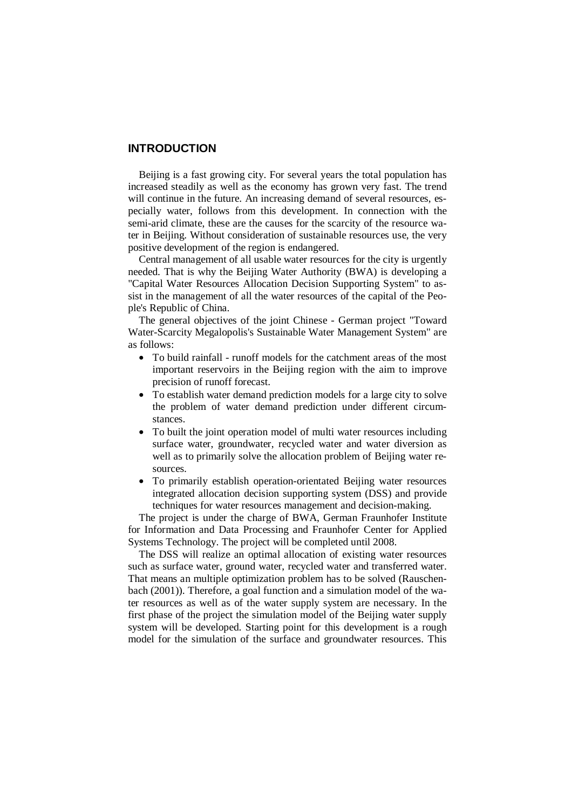### **INTRODUCTION**

Beijing is a fast growing city. For several years the total population has increased steadily as well as the economy has grown very fast. The trend will continue in the future. An increasing demand of several resources, especially water, follows from this development. In connection with the semi-arid climate, these are the causes for the scarcity of the resource water in Beijing. Without consideration of sustainable resources use, the very positive development of the region is endangered.

Central management of all usable water resources for the city is urgently needed. That is why the Beijing Water Authority (BWA) is developing a "Capital Water Resources Allocation Decision Supporting System" to assist in the management of all the water resources of the capital of the People's Republic of China.

The general objectives of the joint Chinese - German project "Toward Water-Scarcity Megalopolis's Sustainable Water Management System" are as follows:

- To build rainfall runoff models for the catchment areas of the most important reservoirs in the Beijing region with the aim to improve precision of runoff forecast.
- To establish water demand prediction models for a large city to solve the problem of water demand prediction under different circumstances.
- To built the joint operation model of multi water resources including surface water, groundwater, recycled water and water diversion as well as to primarily solve the allocation problem of Beijing water resources.
- To primarily establish operation-orientated Beijing water resources integrated allocation decision supporting system (DSS) and provide techniques for water resources management and decision-making.

The project is under the charge of BWA, German Fraunhofer Institute for Information and Data Processing and Fraunhofer Center for Applied Systems Technology. The project will be completed until 2008.

The DSS will realize an optimal allocation of existing water resources such as surface water, ground water, recycled water and transferred water. That means an multiple optimization problem has to be solved (Rauschenbach (2001)). Therefore, a goal function and a simulation model of the water resources as well as of the water supply system are necessary. In the first phase of the project the simulation model of the Beijing water supply system will be developed. Starting point for this development is a rough model for the simulation of the surface and groundwater resources. This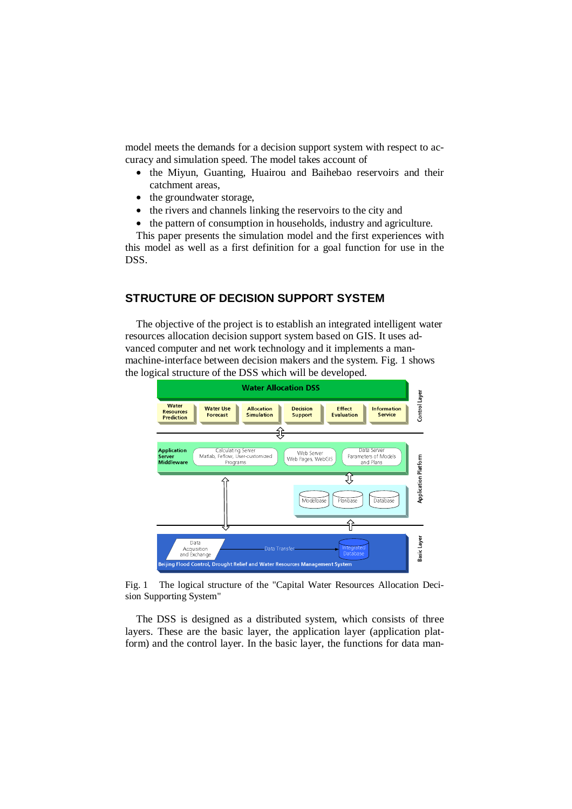model meets the demands for a decision support system with respect to accuracy and simulation speed. The model takes account of

- the Miyun, Guanting, Huairou and Baihebao reservoirs and their catchment areas,
- the groundwater storage,
- the rivers and channels linking the reservoirs to the city and
- the pattern of consumption in households, industry and agriculture.

This paper presents the simulation model and the first experiences with this model as well as a first definition for a goal function for use in the DSS.

#### **STRUCTURE OF DECISION SUPPORT SYSTEM**

The objective of the project is to establish an integrated intelligent water resources allocation decision support system based on GIS. It uses advanced computer and net work technology and it implements a manmachine-interface between decision makers and the system. Fig. 1 shows the logical structure of the DSS which will be developed.



Fig. 1 The logical structure of the "Capital Water Resources Allocation Decision Supporting System"

The DSS is designed as a distributed system, which consists of three layers. These are the basic layer, the application layer (application platform) and the control layer. In the basic layer, the functions for data man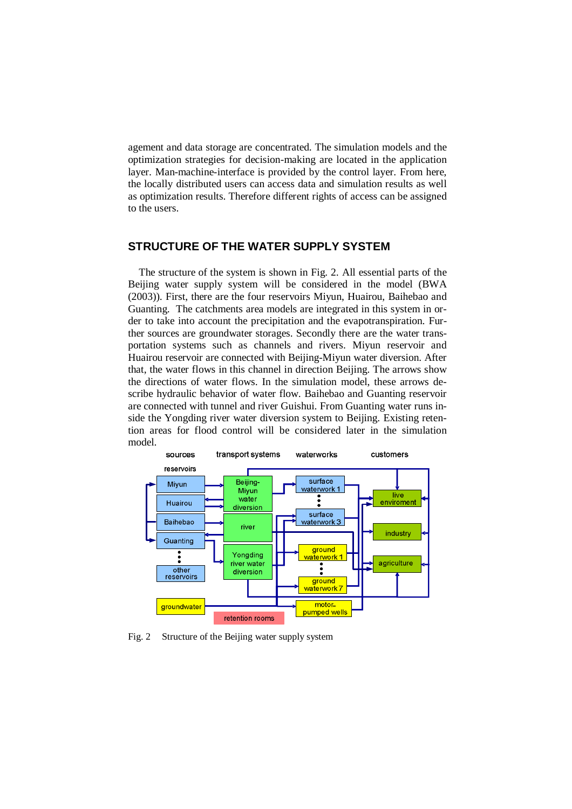agement and data storage are concentrated. The simulation models and the optimization strategies for decision-making are located in the application layer. Man-machine-interface is provided by the control layer. From here, the locally distributed users can access data and simulation results as well as optimization results. Therefore different rights of access can be assigned to the users.

#### **STRUCTURE OF THE WATER SUPPLY SYSTEM**

The structure of the system is shown in Fig. 2. All essential parts of the Beijing water supply system will be considered in the model (BWA (2003)). First, there are the four reservoirs Miyun, Huairou, Baihebao and Guanting. The catchments area models are integrated in this system in order to take into account the precipitation and the evapotranspiration. Further sources are groundwater storages. Secondly there are the water transportation systems such as channels and rivers. Miyun reservoir and Huairou reservoir are connected with Beijing-Miyun water diversion. After that, the water flows in this channel in direction Beijing. The arrows show the directions of water flows. In the simulation model, these arrows describe hydraulic behavior of water flow. Baihebao and Guanting reservoir are connected with tunnel and river Guishui. From Guanting water runs inside the Yongding river water diversion system to Beijing. Existing retention areas for flood control will be considered later in the simulation model.



Fig. 2 Structure of the Beijing water supply system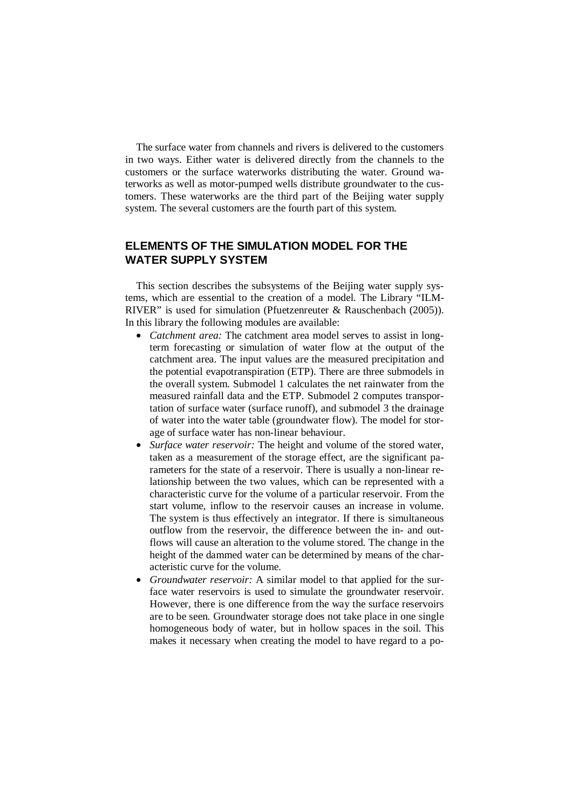The surface water from channels and rivers is delivered to the customers in two ways. Either water is delivered directly from the channels to the customers or the surface waterworks distributing the water. Ground waterworks as well as motor-pumped wells distribute groundwater to the customers. These waterworks are the third part of the Beijing water supply system. The several customers are the fourth part of this system.

## **ELEMENTS OF THE SIMULATION MODEL FOR THE WATER SUPPLY SYSTEM**

This section describes the subsystems of the Beijing water supply systems, which are essential to the creation of a model. The Library "ILM-RIVER" is used for simulation (Pfuetzenreuter & Rauschenbach (2005)). In this library the following modules are available:

- *Catchment area:* The catchment area model serves to assist in longterm forecasting or simulation of water flow at the output of the catchment area. The input values are the measured precipitation and the potential evapotranspiration (ETP). There are three submodels in the overall system. Submodel 1 calculates the net rainwater from the measured rainfall data and the ETP. Submodel 2 computes transportation of surface water (surface runoff), and submodel 3 the drainage of water into the water table (groundwater flow). The model for storage of surface water has non-linear behaviour.
- *Surface water reservoir:* The height and volume of the stored water, taken as a measurement of the storage effect, are the significant parameters for the state of a reservoir. There is usually a non-linear relationship between the two values, which can be represented with a characteristic curve for the volume of a particular reservoir. From the start volume, inflow to the reservoir causes an increase in volume. The system is thus effectively an integrator. If there is simultaneous outflow from the reservoir, the difference between the in- and outflows will cause an alteration to the volume stored. The change in the height of the dammed water can be determined by means of the characteristic curve for the volume.
- *Groundwater reservoir:* A similar model to that applied for the surface water reservoirs is used to simulate the groundwater reservoir. However, there is one difference from the way the surface reservoirs are to be seen. Groundwater storage does not take place in one single homogeneous body of water, but in hollow spaces in the soil. This makes it necessary when creating the model to have regard to a po-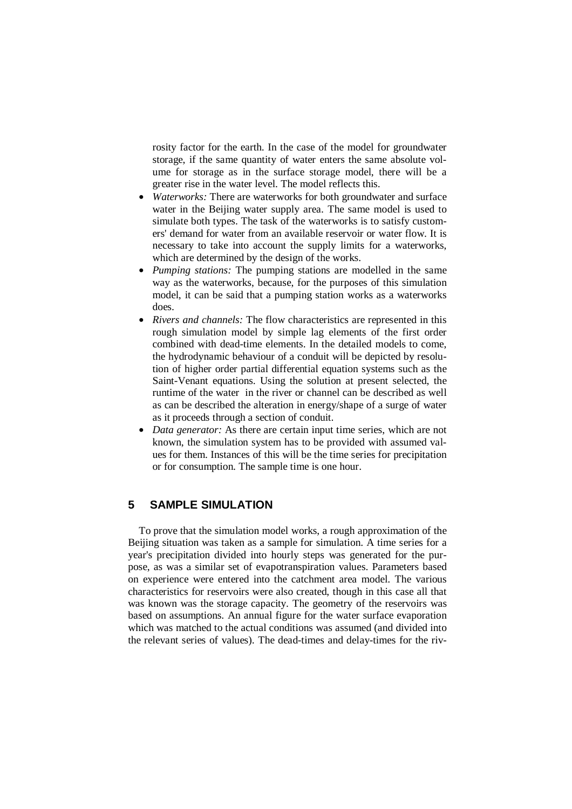rosity factor for the earth. In the case of the model for groundwater storage, if the same quantity of water enters the same absolute volume for storage as in the surface storage model, there will be a greater rise in the water level. The model reflects this.

- *Waterworks:* There are waterworks for both groundwater and surface water in the Beijing water supply area. The same model is used to simulate both types. The task of the waterworks is to satisfy customers' demand for water from an available reservoir or water flow. It is necessary to take into account the supply limits for a waterworks, which are determined by the design of the works.
- *Pumping stations:* The pumping stations are modelled in the same way as the waterworks, because, for the purposes of this simulation model, it can be said that a pumping station works as a waterworks does.
- *Rivers and channels:* The flow characteristics are represented in this rough simulation model by simple lag elements of the first order combined with dead-time elements. In the detailed models to come, the hydrodynamic behaviour of a conduit will be depicted by resolution of higher order partial differential equation systems such as the Saint-Venant equations. Using the solution at present selected, the runtime of the water in the river or channel can be described as well as can be described the alteration in energy/shape of a surge of water as it proceeds through a section of conduit.
- *Data generator:* As there are certain input time series, which are not known, the simulation system has to be provided with assumed values for them. Instances of this will be the time series for precipitation or for consumption. The sample time is one hour.

### **5 SAMPLE SIMULATION**

To prove that the simulation model works, a rough approximation of the Beijing situation was taken as a sample for simulation. A time series for a year's precipitation divided into hourly steps was generated for the purpose, as was a similar set of evapotranspiration values. Parameters based on experience were entered into the catchment area model. The various characteristics for reservoirs were also created, though in this case all that was known was the storage capacity. The geometry of the reservoirs was based on assumptions. An annual figure for the water surface evaporation which was matched to the actual conditions was assumed (and divided into the relevant series of values). The dead-times and delay-times for the riv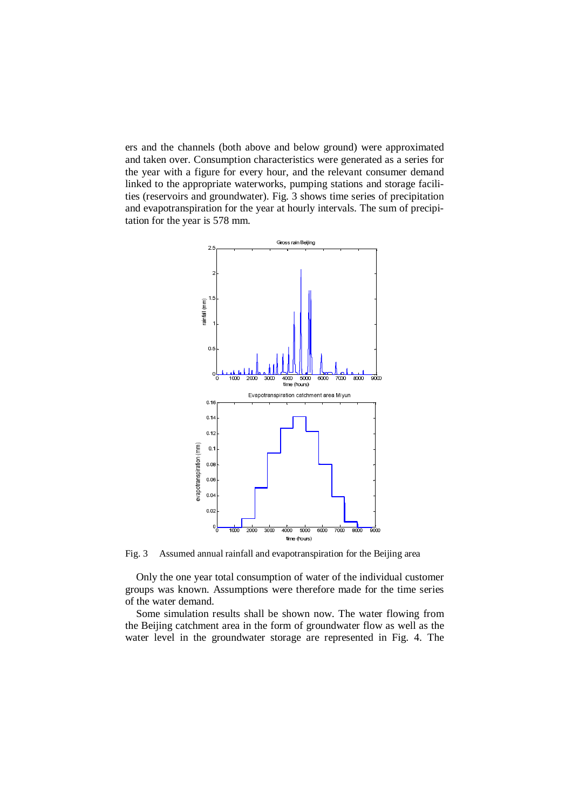ers and the channels (both above and below ground) were approximated and taken over. Consumption characteristics were generated as a series for the year with a figure for every hour, and the relevant consumer demand linked to the appropriate waterworks, pumping stations and storage facilities (reservoirs and groundwater). Fig. 3 shows time series of precipitation and evapotranspiration for the year at hourly intervals. The sum of precipitation for the year is 578 mm.



Fig. 3 Assumed annual rainfall and evapotranspiration for the Beijing area

Only the one year total consumption of water of the individual customer groups was known. Assumptions were therefore made for the time series of the water demand.

Some simulation results shall be shown now. The water flowing from the Beijing catchment area in the form of groundwater flow as well as the water level in the groundwater storage are represented in Fig. 4. The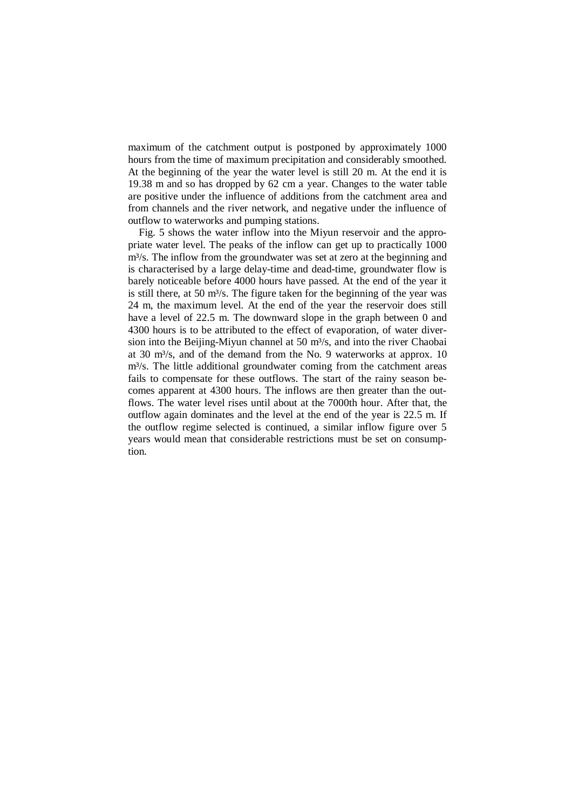maximum of the catchment output is postponed by approximately 1000 hours from the time of maximum precipitation and considerably smoothed. At the beginning of the year the water level is still 20 m. At the end it is 19.38 m and so has dropped by 62 cm a year. Changes to the water table are positive under the influence of additions from the catchment area and from channels and the river network, and negative under the influence of outflow to waterworks and pumping stations.

Fig. 5 shows the water inflow into the Miyun reservoir and the appropriate water level. The peaks of the inflow can get up to practically 1000 m<sup>3</sup>/s. The inflow from the groundwater was set at zero at the beginning and is characterised by a large delay-time and dead-time, groundwater flow is barely noticeable before 4000 hours have passed. At the end of the year it is still there, at 50  $m<sup>3</sup>/s$ . The figure taken for the beginning of the year was 24 m, the maximum level. At the end of the year the reservoir does still have a level of 22.5 m. The downward slope in the graph between 0 and 4300 hours is to be attributed to the effect of evaporation, of water diversion into the Beijing-Miyun channel at 50  $m<sup>3</sup>/s$ , and into the river Chaobai at 30 m³/s, and of the demand from the No. 9 waterworks at approx. 10 m<sup>3</sup>/s. The little additional groundwater coming from the catchment areas fails to compensate for these outflows. The start of the rainy season becomes apparent at 4300 hours. The inflows are then greater than the outflows. The water level rises until about at the 7000th hour. After that, the outflow again dominates and the level at the end of the year is 22.5 m. If the outflow regime selected is continued, a similar inflow figure over 5 years would mean that considerable restrictions must be set on consumption.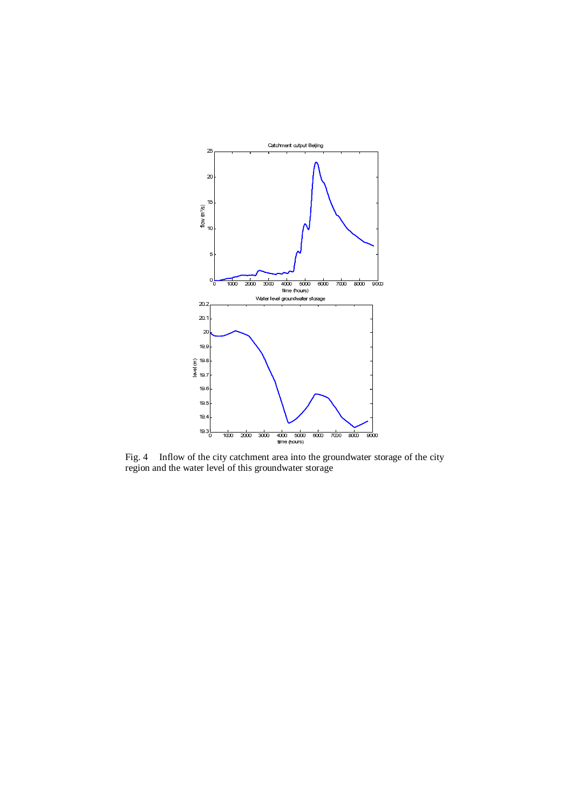

Fig. 4 Inflow of the city catchment area into the groundwater storage of the city region and the water level of this groundwater storage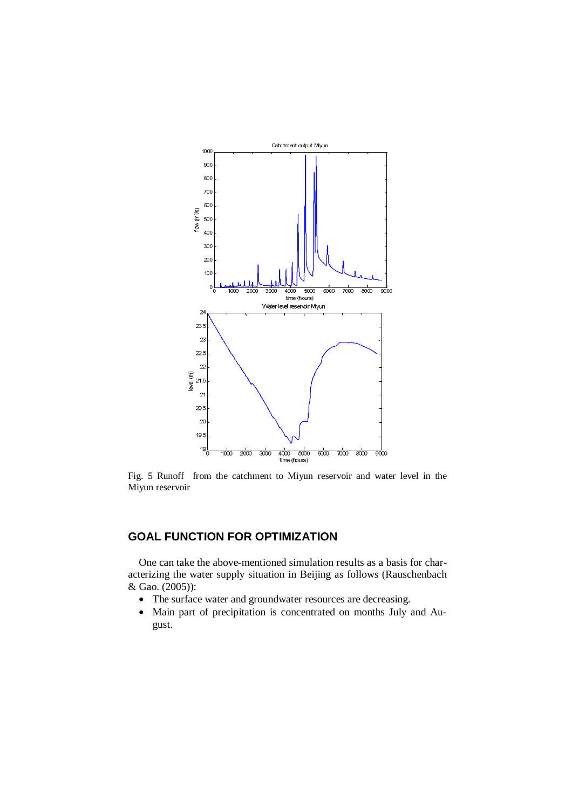

Fig. 5 Runoff from the catchment to Miyun reservoir and water level in the Miyun reservoir

# **GOAL FUNCTION FOR OPTIMIZATION**

One can take the above-mentioned simulation results as a basis for characterizing the water supply situation in Beijing as follows (Rauschenbach & Gao. (2005)):

- The surface water and groundwater resources are decreasing.
- Main part of precipitation is concentrated on months July and August.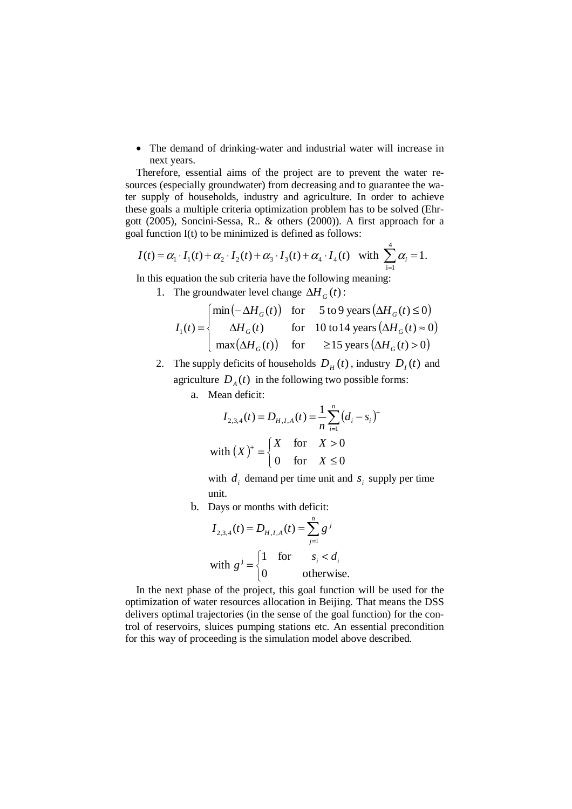• The demand of drinking-water and industrial water will increase in next years.

Therefore, essential aims of the project are to prevent the water resources (especially groundwater) from decreasing and to guarantee the water supply of households, industry and agriculture. In order to achieve these goals a multiple criteria optimization problem has to be solved (Ehrgott (2005), Soncini-Sessa, R.. & others (2000)). A first approach for a goal function I(t) to be minimized is defined as follows:

$$
I(t) = \alpha_1 \cdot I_1(t) + \alpha_2 \cdot I_2(t) + \alpha_3 \cdot I_3(t) + \alpha_4 \cdot I_4(t)
$$
 with  $\sum_{i=1}^{4} \alpha_i = 1$ .  
In this equation the sub criteria have the following meaning:

1. The groundwater level change  $\Delta H_G(t)$ :

$$
I_1(t) = \begin{cases} \min(-\Delta H_G(t)) & \text{for} \quad 5 \text{ to 9 years} (\Delta H_G(t) \le 0) \\ \Delta H_G(t) & \text{for} \quad 10 \text{ to 14 years} (\Delta H_G(t) \approx 0) \\ \max(\Delta H_G(t)) & \text{for} \quad \ge 15 \text{ years} (\Delta H_G(t) > 0) \end{cases}
$$

2. The supply deficits of households  $D_H(t)$ , industry  $D_I(t)$  and agriculture  $D_A(t)$  in the following two possible forms:

a. Mean deficit:

$$
I_{2,3,4}(t) = D_{H,I,A}(t) = \frac{1}{n} \sum_{i=1}^{n} (d_i - s_i)^+
$$
  
with  $(X)^{+} = \begin{cases} X & \text{for } X > 0 \\ 0 & \text{for } X \le 0 \end{cases}$ 

with  $d_i$  demand per time unit and  $s_i$  supply per time unit.

b. Days or months with deficit:

$$
I_{2,3,4}(t) = D_{H,I,A}(t) = \sum_{j=1}^{n} g^{j}
$$
  
with 
$$
g^{j} = \begin{cases} 1 & \text{for} & s_{i} < d_{i} \\ 0 & \text{otherwise.} \end{cases}
$$

In the next phase of the project, this goal function will be used for the optimization of water resources allocation in Beijing. That means the DSS delivers optimal trajectories (in the sense of the goal function) for the control of reservoirs, sluices pumping stations etc. An essential precondition for this way of proceeding is the simulation model above described.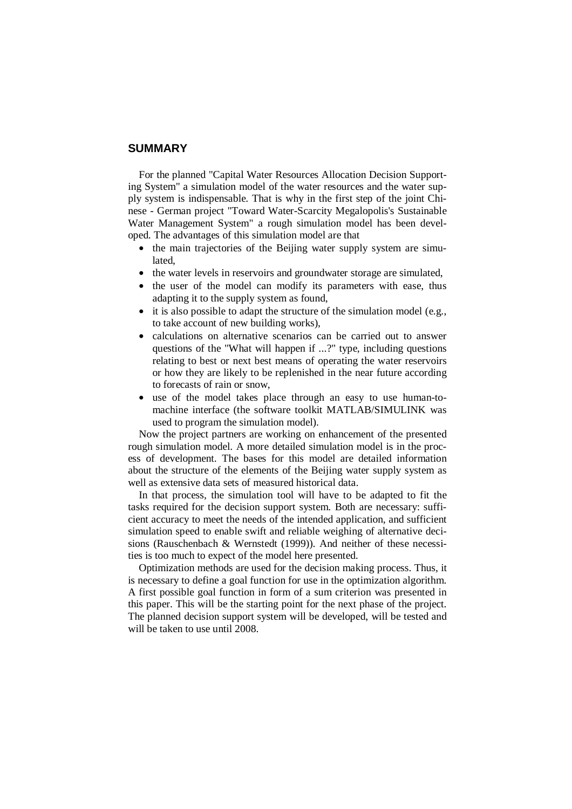#### **SUMMARY**

For the planned "Capital Water Resources Allocation Decision Supporting System" a simulation model of the water resources and the water supply system is indispensable. That is why in the first step of the joint Chinese - German project "Toward Water-Scarcity Megalopolis's Sustainable Water Management System" a rough simulation model has been developed. The advantages of this simulation model are that

- the main trajectories of the Beijing water supply system are simulated,
- the water levels in reservoirs and groundwater storage are simulated,
- the user of the model can modify its parameters with ease, thus adapting it to the supply system as found,
- it is also possible to adapt the structure of the simulation model (e.g., to take account of new building works),
- calculations on alternative scenarios can be carried out to answer questions of the "What will happen if ...?" type, including questions relating to best or next best means of operating the water reservoirs or how they are likely to be replenished in the near future according to forecasts of rain or snow,
- use of the model takes place through an easy to use human-tomachine interface (the software toolkit MATLAB/SIMULINK was used to program the simulation model).

Now the project partners are working on enhancement of the presented rough simulation model. A more detailed simulation model is in the process of development. The bases for this model are detailed information about the structure of the elements of the Beijing water supply system as well as extensive data sets of measured historical data.

In that process, the simulation tool will have to be adapted to fit the tasks required for the decision support system. Both are necessary: sufficient accuracy to meet the needs of the intended application, and sufficient simulation speed to enable swift and reliable weighing of alternative decisions (Rauschenbach & Wernstedt (1999)). And neither of these necessities is too much to expect of the model here presented.

Optimization methods are used for the decision making process. Thus, it is necessary to define a goal function for use in the optimization algorithm. A first possible goal function in form of a sum criterion was presented in this paper. This will be the starting point for the next phase of the project. The planned decision support system will be developed, will be tested and will be taken to use until 2008.